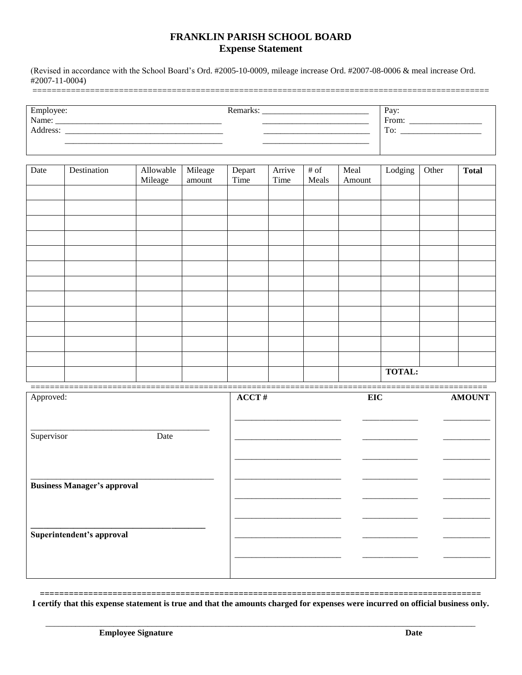## FRANKLIN PARISH SCHOOL BOARD **Expense Statement**

(Revised in accordance with the School Board's Ord. #2005-10-0009, mileage increase Ord. #2007-08-0006 & meal increase Ord.  $#2007-11-0004)$ 

| Employee:<br>Name:   | Remarks, | Pay: |
|----------------------|----------|------|
|                      |          | From |
| Address <sup>-</sup> |          | To:  |
| _____                |          |      |
|                      |          |      |

| Date | Destination | Allowable<br>Mileage | Mileage<br>amount | Depart<br>Time | Arrive<br>Time | $#$ of<br>Meals | Meal<br>Amount | Lodging       | Other | <b>Total</b> |
|------|-------------|----------------------|-------------------|----------------|----------------|-----------------|----------------|---------------|-------|--------------|
|      |             |                      |                   |                |                |                 |                |               |       |              |
|      |             |                      |                   |                |                |                 |                |               |       |              |
|      |             |                      |                   |                |                |                 |                |               |       |              |
|      |             |                      |                   |                |                |                 |                |               |       |              |
|      |             |                      |                   |                |                |                 |                |               |       |              |
|      |             |                      |                   |                |                |                 |                |               |       |              |
|      |             |                      |                   |                |                |                 |                |               |       |              |
|      |             |                      |                   |                |                |                 |                |               |       |              |
|      |             |                      |                   |                |                |                 |                |               |       |              |
|      |             |                      |                   |                |                |                 |                |               |       |              |
|      |             |                      |                   |                |                |                 |                |               |       |              |
|      |             |                      |                   |                |                |                 |                |               |       |              |
|      |             |                      |                   |                |                |                 |                | <b>TOTAL:</b> |       |              |

| Approved:                          |      | ACCT# | EIC | <b>AMOUNT</b> |
|------------------------------------|------|-------|-----|---------------|
|                                    |      |       |     |               |
|                                    |      |       |     |               |
|                                    |      |       |     |               |
|                                    |      |       |     |               |
| Supervisor                         | Date |       |     |               |
|                                    |      |       |     |               |
|                                    |      |       |     |               |
|                                    |      |       |     |               |
|                                    |      |       |     |               |
|                                    |      |       |     |               |
|                                    |      |       |     |               |
| <b>Business Manager's approval</b> |      |       |     |               |
|                                    |      |       |     |               |
|                                    |      |       |     |               |
|                                    |      |       |     |               |
|                                    |      |       |     |               |
|                                    |      |       |     |               |
|                                    |      |       |     |               |
| Superintendent's approval          |      |       |     |               |
|                                    |      |       |     |               |
|                                    |      |       |     |               |
|                                    |      |       |     |               |
|                                    |      |       |     |               |
|                                    |      |       |     |               |
|                                    |      |       |     |               |

\_\_\_\_\_\_\_\_\_\_\_\_\_\_\_\_\_\_\_\_\_\_\_\_

I certify that this expense statement is true and that the amounts charged for expenses were incurred on official business only.